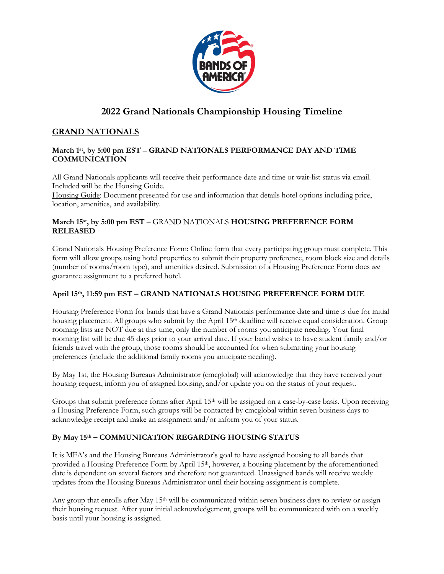

# **2022 Grand Nationals Championship Housing Timeline**

## **GRAND NATIONALS**

#### **March 1st, by 5:00 pm EST** – **GRAND NATIONALS PERFORMANCE DAY AND TIME COMMUNICATION**

All Grand Nationals applicants will receive their performance date and time or wait-list status via email. Included will be the Housing Guide.

Housing Guide: Document presented for use and information that details hotel options including price, location, amenities, and availability.

#### **March 15st, by 5:00 pm EST** – GRAND NATIONALS **HOUSING PREFERENCE FORM RELEASED**

Grand Nationals Housing Preference Form: Online form that every participating group must complete. This form will allow groups using hotel properties to submit their property preference, room block size and details (number of rooms/room type), and amenities desired. Submission of a Housing Preference Form does *not* guarantee assignment to a preferred hotel.

## **April 15th, 11:59 pm EST – GRAND NATIONALS HOUSING PREFERENCE FORM DUE**

Housing Preference Form for bands that have a Grand Nationals performance date and time is due for initial housing placement. All groups who submit by the April 15<sup>th</sup> deadline will receive equal consideration. Group rooming lists are NOT due at this time, only the number of rooms you anticipate needing. Your final rooming list will be due 45 days prior to your arrival date. If your band wishes to have student family and/or friends travel with the group, those rooms should be accounted for when submitting your housing preferences (include the additional family rooms you anticipate needing).

By May 1st, the Housing Bureaus Administrator (cmcglobal) will acknowledge that they have received your housing request, inform you of assigned housing, and/or update you on the status of your request.

Groups that submit preference forms after April 15<sup>th</sup> will be assigned on a case-by-case basis. Upon receiving a Housing Preference Form, such groups will be contacted by cmcglobal within seven business days to acknowledge receipt and make an assignment and/or inform you of your status.

## **By May 15th – COMMUNICATION REGARDING HOUSING STATUS**

It is MFA's and the Housing Bureaus Administrator's goal to have assigned housing to all bands that provided a Housing Preference Form by April 15th, however, a housing placement by the aforementioned date is dependent on several factors and therefore not guaranteed. Unassigned bands will receive weekly updates from the Housing Bureaus Administrator until their housing assignment is complete.

Any group that enrolls after May 15<sup>th</sup> will be communicated within seven business days to review or assign their housing request. After your initial acknowledgement, groups will be communicated with on a weekly basis until your housing is assigned.